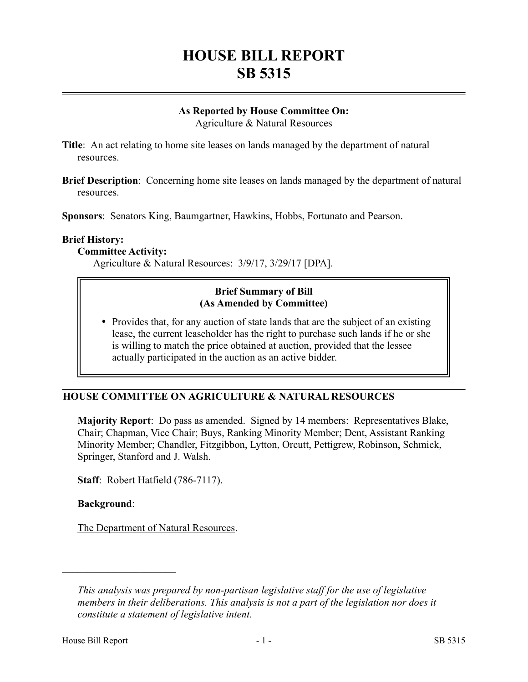# **HOUSE BILL REPORT SB 5315**

## **As Reported by House Committee On:**

Agriculture & Natural Resources

**Title**: An act relating to home site leases on lands managed by the department of natural resources.

**Brief Description**: Concerning home site leases on lands managed by the department of natural resources.

**Sponsors**: Senators King, Baumgartner, Hawkins, Hobbs, Fortunato and Pearson.

#### **Brief History:**

#### **Committee Activity:**

Agriculture & Natural Resources: 3/9/17, 3/29/17 [DPA].

#### **Brief Summary of Bill (As Amended by Committee)**

• Provides that, for any auction of state lands that are the subject of an existing lease, the current leaseholder has the right to purchase such lands if he or she is willing to match the price obtained at auction, provided that the lessee actually participated in the auction as an active bidder.

## **HOUSE COMMITTEE ON AGRICULTURE & NATURAL RESOURCES**

**Majority Report**: Do pass as amended. Signed by 14 members: Representatives Blake, Chair; Chapman, Vice Chair; Buys, Ranking Minority Member; Dent, Assistant Ranking Minority Member; Chandler, Fitzgibbon, Lytton, Orcutt, Pettigrew, Robinson, Schmick, Springer, Stanford and J. Walsh.

**Staff**: Robert Hatfield (786-7117).

## **Background**:

––––––––––––––––––––––

The Department of Natural Resources.

*This analysis was prepared by non-partisan legislative staff for the use of legislative members in their deliberations. This analysis is not a part of the legislation nor does it constitute a statement of legislative intent.*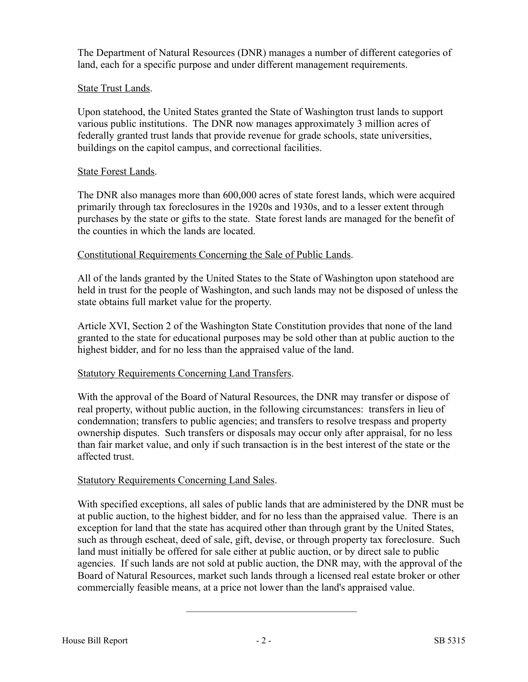The Department of Natural Resources (DNR) manages a number of different categories of land, each for a specific purpose and under different management requirements.

## State Trust Lands.

Upon statehood, the United States granted the State of Washington trust lands to support various public institutions. The DNR now manages approximately 3 million acres of federally granted trust lands that provide revenue for grade schools, state universities, buildings on the capitol campus, and correctional facilities.

## State Forest Lands.

The DNR also manages more than 600,000 acres of state forest lands, which were acquired primarily through tax foreclosures in the 1920s and 1930s, and to a lesser extent through purchases by the state or gifts to the state. State forest lands are managed for the benefit of the counties in which the lands are located.

## Constitutional Requirements Concerning the Sale of Public Lands.

All of the lands granted by the United States to the State of Washington upon statehood are held in trust for the people of Washington, and such lands may not be disposed of unless the state obtains full market value for the property.

Article XVI, Section 2 of the Washington State Constitution provides that none of the land granted to the state for educational purposes may be sold other than at public auction to the highest bidder, and for no less than the appraised value of the land.

## Statutory Requirements Concerning Land Transfers.

With the approval of the Board of Natural Resources, the DNR may transfer or dispose of real property, without public auction, in the following circumstances: transfers in lieu of condemnation; transfers to public agencies; and transfers to resolve trespass and property ownership disputes. Such transfers or disposals may occur only after appraisal, for no less than fair market value, and only if such transaction is in the best interest of the state or the affected trust.

## Statutory Requirements Concerning Land Sales.

With specified exceptions, all sales of public lands that are administered by the DNR must be at public auction, to the highest bidder, and for no less than the appraised value. There is an exception for land that the state has acquired other than through grant by the United States, such as through escheat, deed of sale, gift, devise, or through property tax foreclosure. Such land must initially be offered for sale either at public auction, or by direct sale to public agencies. If such lands are not sold at public auction, the DNR may, with the approval of the Board of Natural Resources, market such lands through a licensed real estate broker or other commercially feasible means, at a price not lower than the land's appraised value.

–––––––––––––––––––––––––––––––––